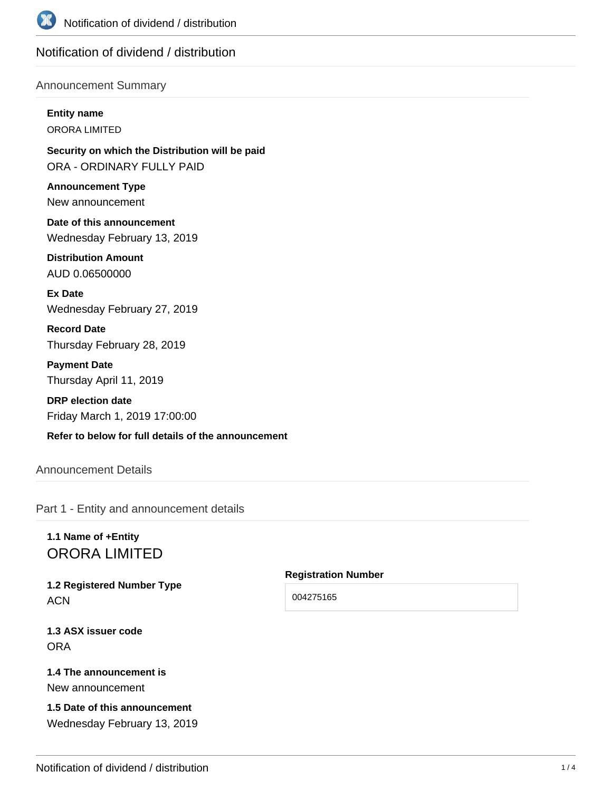

# Notification of dividend / distribution

### Announcement Summary

**Entity name**

ORORA LIMITED

**Security on which the Distribution will be paid** ORA - ORDINARY FULLY PAID

**Announcement Type** New announcement

**Date of this announcement** Wednesday February 13, 2019

**Distribution Amount** AUD 0.06500000

**Ex Date** Wednesday February 27, 2019

**Record Date** Thursday February 28, 2019

**Payment Date** Thursday April 11, 2019

**DRP election date** Friday March 1, 2019 17:00:00

**Refer to below for full details of the announcement**

# Announcement Details

Part 1 - Entity and announcement details

# **1.1 Name of +Entity** ORORA LIMITED

**1.2 Registered Number Type ACN** 

**1.3 ASX issuer code** ORA

### **1.4 The announcement is** New announcement

**1.5 Date of this announcement** Wednesday February 13, 2019

#### **Registration Number**

004275165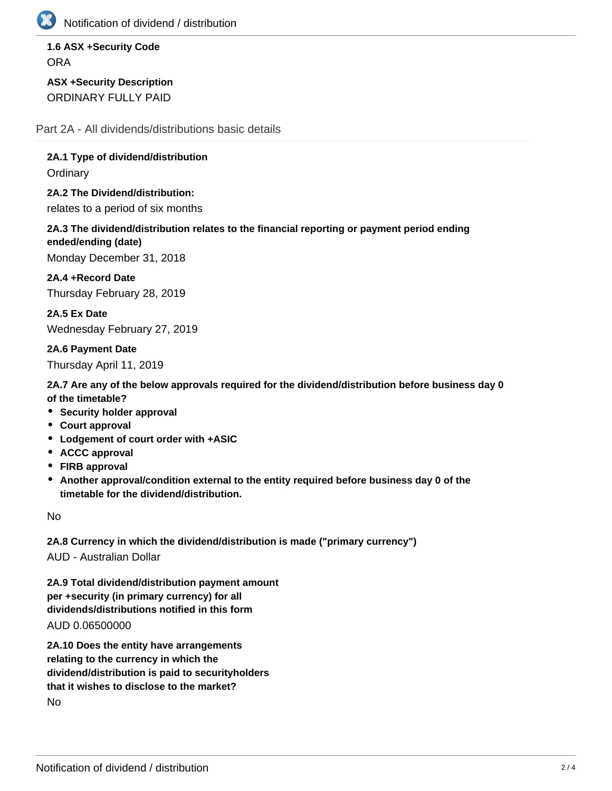

Notification of dividend / distribution

**1.6 ASX +Security Code ORA** 

**ASX +Security Description** ORDINARY FULLY PAID

Part 2A - All dividends/distributions basic details

**2A.1 Type of dividend/distribution**

**Ordinary** 

**2A.2 The Dividend/distribution:** relates to a period of six months

**2A.3 The dividend/distribution relates to the financial reporting or payment period ending ended/ending (date)**

Monday December 31, 2018

**2A.4 +Record Date** Thursday February 28, 2019

**2A.5 Ex Date** Wednesday February 27, 2019

**2A.6 Payment Date** Thursday April 11, 2019

**2A.7 Are any of the below approvals required for the dividend/distribution before business day 0 of the timetable?**

- **Security holder approval**
- **Court approval**
- **Lodgement of court order with +ASIC**
- **ACCC approval**
- **FIRB approval**
- **Another approval/condition external to the entity required before business day 0 of the timetable for the dividend/distribution.**

No

**2A.8 Currency in which the dividend/distribution is made ("primary currency")**

AUD - Australian Dollar

**2A.9 Total dividend/distribution payment amount per +security (in primary currency) for all dividends/distributions notified in this form** AUD 0.06500000

**2A.10 Does the entity have arrangements relating to the currency in which the dividend/distribution is paid to securityholders that it wishes to disclose to the market?** No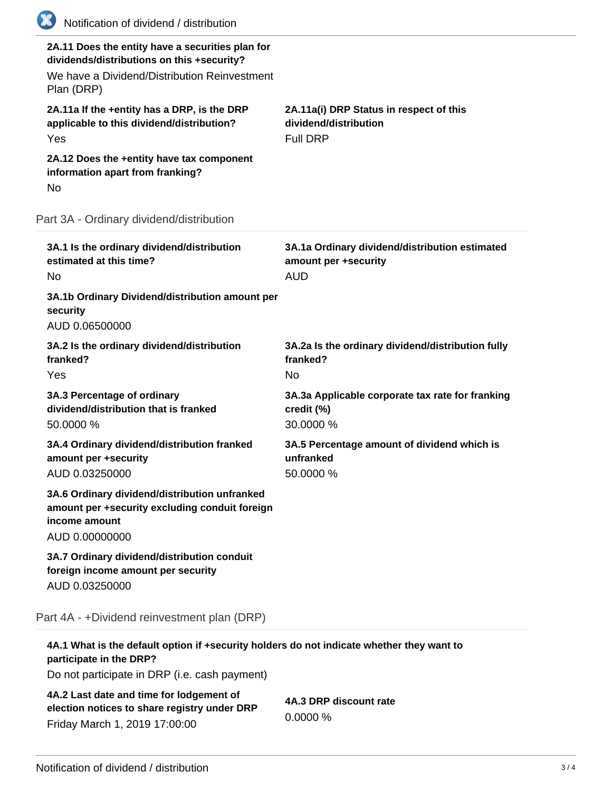| (K)<br>Notification of dividend / distribution                                                                                                               |                                                                                      |
|--------------------------------------------------------------------------------------------------------------------------------------------------------------|--------------------------------------------------------------------------------------|
| 2A.11 Does the entity have a securities plan for<br>dividends/distributions on this +security?<br>We have a Dividend/Distribution Reinvestment<br>Plan (DRP) |                                                                                      |
| 2A.11a If the +entity has a DRP, is the DRP<br>applicable to this dividend/distribution?<br>Yes                                                              | 2A.11a(i) DRP Status in respect of this<br>dividend/distribution<br><b>Full DRP</b>  |
| 2A.12 Does the +entity have tax component<br>information apart from franking?<br>No                                                                          |                                                                                      |
| Part 3A - Ordinary dividend/distribution                                                                                                                     |                                                                                      |
| 3A.1 Is the ordinary dividend/distribution<br>estimated at this time?<br>No                                                                                  | 3A.1a Ordinary dividend/distribution estimated<br>amount per +security<br><b>AUD</b> |
| 3A.1b Ordinary Dividend/distribution amount per<br>security<br>AUD 0.06500000                                                                                |                                                                                      |
| 3A.2 Is the ordinary dividend/distribution<br>franked?<br>Yes                                                                                                | 3A.2a Is the ordinary dividend/distribution fully<br>franked?<br><b>No</b>           |
| 3A.3 Percentage of ordinary<br>dividend/distribution that is franked<br>50.0000 %                                                                            | 3A.3a Applicable corporate tax rate for franking<br>credit (%)<br>30.0000 %          |
| 3A.4 Ordinary dividend/distribution franked<br>amount per +security<br>AUD 0.03250000                                                                        | 3A.5 Percentage amount of dividend which is<br>unfranked<br>50.0000 %                |
| 3A.6 Ordinary dividend/distribution unfranked<br>amount per +security excluding conduit foreign<br>income amount<br>AUD 0.00000000                           |                                                                                      |
| 3A.7 Ordinary dividend/distribution conduit<br>foreign income amount per security<br>AUD 0.03250000                                                          |                                                                                      |
| Part 4A - +Dividend reinvestment plan (DRP)                                                                                                                  |                                                                                      |
| 4A.1 What is the default option if +security holders do not indicate whether they want to                                                                    |                                                                                      |

**participate in the DRP?**

Do not participate in DRP (i.e. cash payment)

**4A.2 Last date and time for lodgement of election notices to share registry under DRP** Friday March 1, 2019 17:00:00

**4A.3 DRP discount rate** 0.0000 %